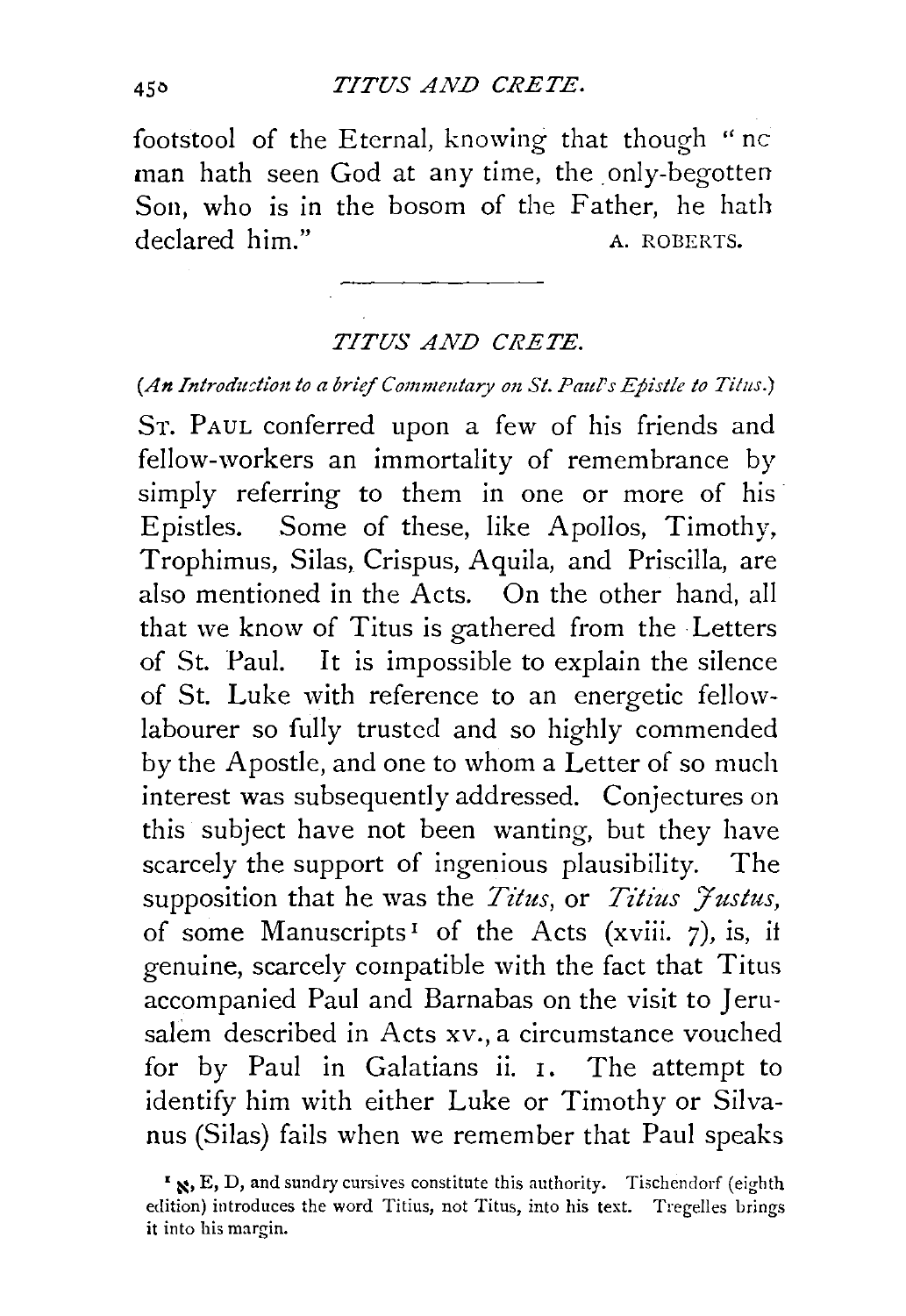footstool of the Eternal, knowing that though "nc man hath seen God at any time, the only-begotten Son, who is in the bosom of the Father, he hath declared him." A. ROBERTS.

## *TITUS AND CRETE.*

*(An Introduction to a brief Commentary on St. Paul's Epistle to Titus.)* 

ST. PAUL conferred upon a few of his friends and fellow-workers an immortality of remembrance by simply referring to them in one or more of his Epistles. Some of these, like Apollos, Timothy, Trophimus, Silas, Crispus, Aquila, and Priscilla, are also mentioned in the Acts. On the other hand, all that we know of Titus is gathered from the Letters of St. Paul. It is impossible to explain the silence of St. Luke with reference to an energetic fellowlabourer so fully trusted and so highly commended by the Apostle, and one to whom a Letter of so much interest was subsequently addressed. Conjectures on this subject have not been wanting, but they have scarcely the support of ingenious plausibility. The supposition that he was the *Titus*, or *Titius Justus*, of some Manuscripts<sup>1</sup> of the Acts (xviii. 7), is, if genuine, scarcely compatible with the fact that Titus accompanied Paul and Barnabas on the visit to Jerusalem described in Acts xv., a circumstance vouched for by Paul in Galatians ii. I. The attempt to identify him with either Luke or Timothy or Silvanus (Silas) fails when we remember that Paul speaks

<sup>&#</sup>x27; ~· E, D, and sundry cursives constitute this authority. Tischendorf (eighth edition) introduces the word Titius, not Titus, into his text. Tregelles brings **it into his margin.**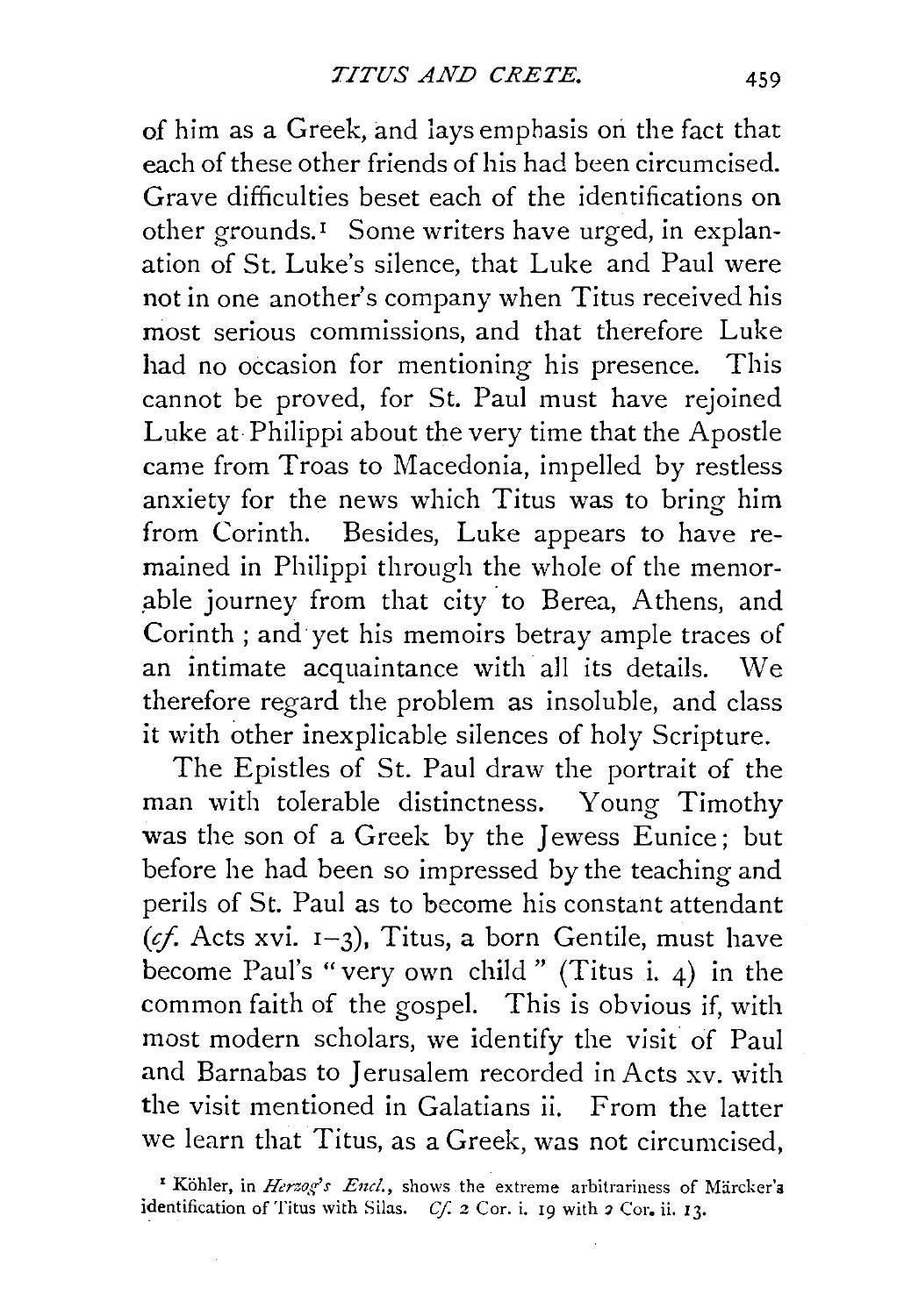of him as a Greek, and 1ays emphasis on the fact that each of these other friends of his had been circumcised. Grave difficulties beset each of the identifications on other grounds.<sup> $I$ </sup> Some writers have urged, in explanation of St. Luke's silence, that Luke and Paul were not in one another's company when Titus received his most serious commissions, and that therefore Luke had no occasion for mentioning his presence. This cannot be proved, for St. Paul must have rejoined Luke at Philippi about the very time that the Apostle came from Troas to Macedonia, impelled by restless anxiety for the news which Titus was to bring him from Corinth. Besides, Luke appears to have remained in Philippi through the whole of the memor able journey from that city to Berea, Athens, and Corinth ; and yet his memoirs betray ample traces of an intimate acquaintance with all its details. We therefore regard the problem as insoluble, and class it with other inexplicable silences of holy Scripture.

The Epistles of St. Paul draw the portrait of the man with tolerable distinctness. Young Timothy was the son of a Greek by the Jewess Eunice; but before he had been so impressed by the teaching and perils of St. Paul as to become his constant attendant *(if.* Acts xvi. 1-3), Titus, a born Gentile, must have become Paul's "very own child" (Titus i. 4) in the common faith of the gospel. This is obvious if, with most modern scholars, we identify the visit of Paul and Barnabas to Jerusalem recorded in Acts xv. with the visit mentioned in Galatians ii. From the latter we learn that Titus, as a Greek, was not circumcised,

<sup>&</sup>lt;sup>I</sup> Köhler, in *Herzog's Encl.*, shows the extreme arbitrariness of Märcker's identification of Titus with Silas. *Cf.* 2 Cor. i. 19 with 2 Cor. ii. 13.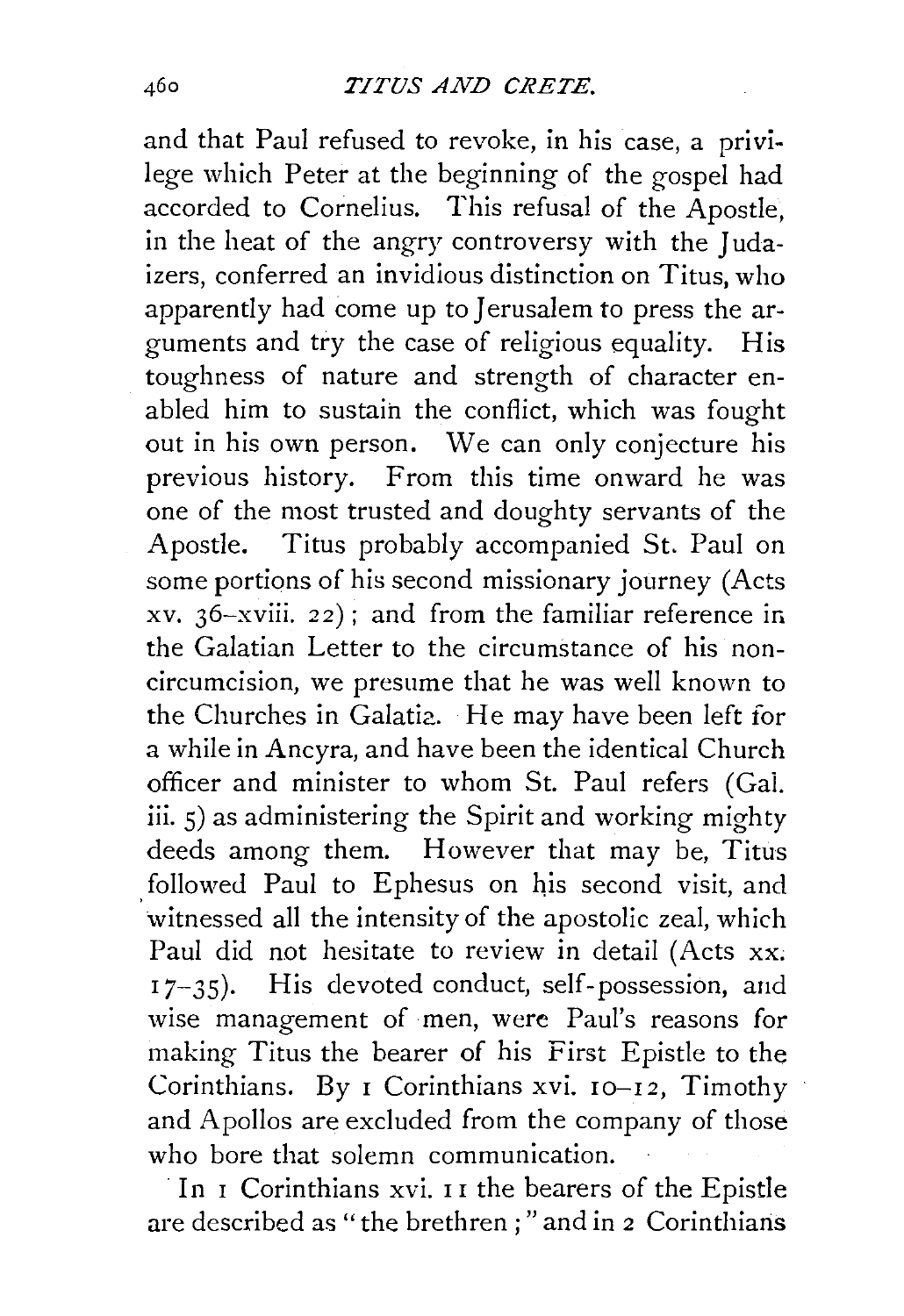and that Paul refused to revoke, in his case, a privilege which Peter at the beginning of the gospel had accorded to Cornelius. This refusal of the Apostle, in the heat of the angry controversy with the Judaizers, conferred an invidious distinction on Titus, who apparently had come up to Jerusalem to press the arguments and try the case of religious equality. His toughness of nature and strength of character enabled him to sustain the conflict, which was fought out in his own person. We can only conjecture his previous history. From this time onward he was one of the most trusted and doughty servants of the Apostle. Titus probably accompanied St. Paul on some portions of his second missionary journey (Acts xv. 36-xviii. 22) ; and from the familiar reference in. the Galatian Letter to the circumstance of his noncircumcision, we presume that he was well known to the Churches in Galatia. He may have been left for a while in Ancyra, and have been the identical Church officer and minister to whom St. Paul refers (Gai. iii. 5) as administering the Spirit and working mighty deeds among them. However that may be, Titus followed Paul to Ephesus on his second visit, and witnessed all the intensity of the apostolic zeal, which Paul did not hesitate to review in detail (Acts xx. 17-35). His devoted conduct, self-possession, and wise management of men, were Paul's reasons for making Titus the bearer of his First Epistle to the Corinthians. By I Corinthians xvi.  $IQ - I2$ , Timothy and Apollos are excluded from the company of those who bore that solemn communication.

In I Corinthians xvi. II the bearers of the Epistle are described as " the brethren ; " and in 2 Corinthians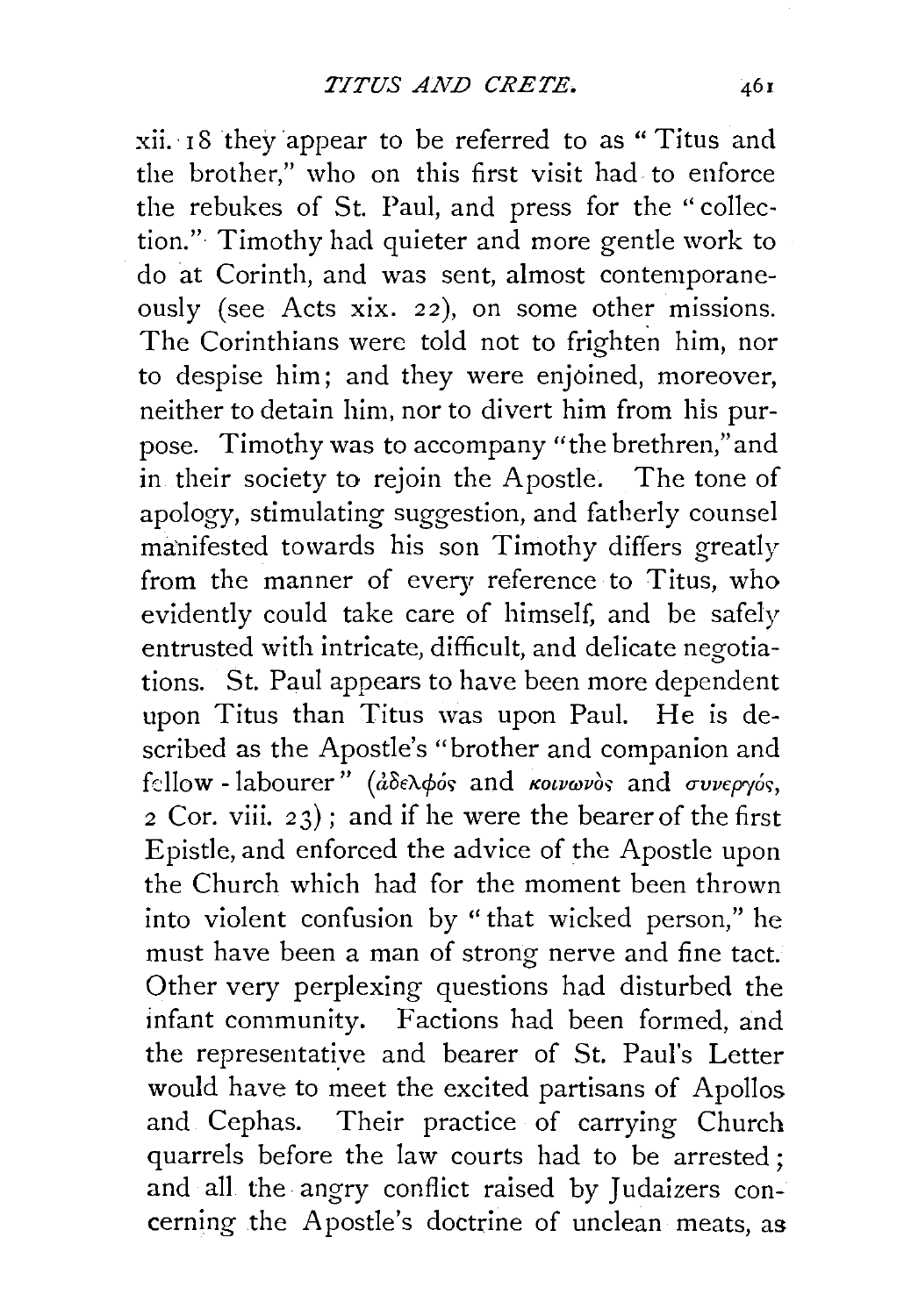$xii. 18$  they appear to be referred to as " Titus and the brother," who on this first visit had to enforce the rebukes of St. Paul, and press for the "collection." Timothy had quieter and more gentle work to do at Corinth, and was sent, almost contemporaneously (see Acts xix. 22), on some other missions. The Corinthians were told not to frighten him, nor to despise him; and they were enjoined, moreover, neither to detain him, nor to divert him from his purpose. Timothy was to accompany "the brethren," and in their society to rejoin the Apostle. The tone of apology, stimulating suggestion, and fatherly counsel manifested towards his son Timothy differs greatly from the manner of every reference to Titus, who evidently could take care of himself, and be safely entrusted with intricate, difficult, and delicate negotiations. St. Paul appears to have been more dependent upon Titus than Titus was upon Paul. He is described as the Apostle's "brother and companion and fellow - labourer" ( $d\delta \in \lambda \phi$  is and KOLVWOS; and συνεργός,  $2$  Cor. viii.  $23$ ; and if he were the bearer of the first Epistle, and enforced the advice of the Apostle upon the Church which had for the moment been thrown into violent confusion by "that wicked person," he must have been a man of strong nerve and fine tact. Other very perplexing questions had disturbed the infant community. Factions had been formed, and the representatiye and bearer of St. Paul's Letter would have to meet the excited partisans of Apollos and Cephas. Their practice of carrying Church quarrels before the law courts had to be arrested ; and all the angry conflict raised by Judaizers concerning the Apostle's doctrine of unclean meats, as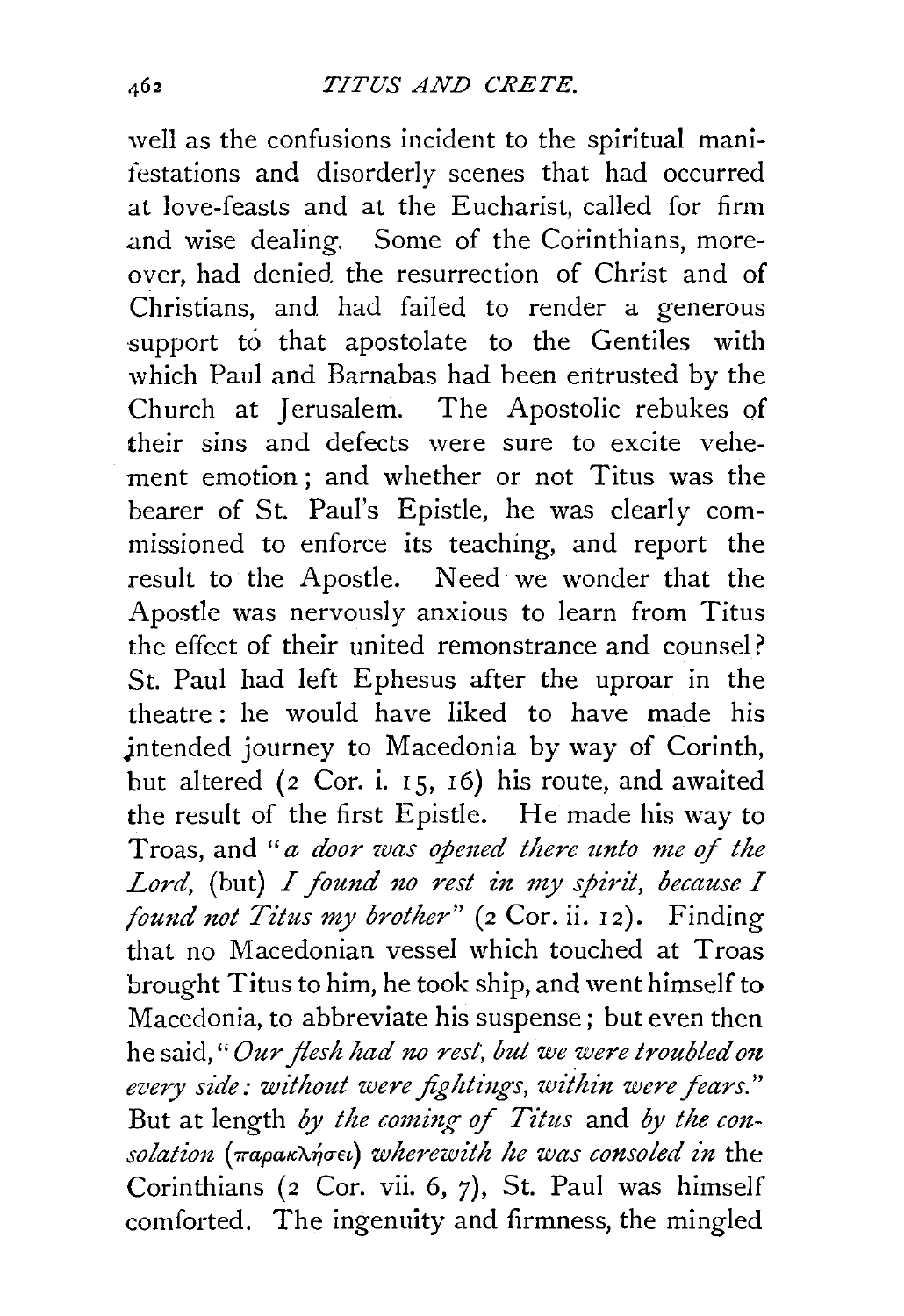well as the confusions incident to the spiritual manifestations and disorderly scenes that had occurred at love-feasts and at the Eucharist, called for firm .and wise dealing. Some of the Corinthians, moreover, had denied. the resurrection of Christ and of Christians, and had failed to render a generous support to that apostolate to the Gentiles with which Paul and Barnabas had been entrusted by the Church at Jerusalem. The Apostolic rebukes of their sins and defects were sure to excite vehement emotion ; and whether or not Titus was the bearer of St. Paul's Epistle, he was clearly commissioned to enforce its teaching, and report the result to the Apostle. Need· we wonder that the Apostle was nervously anxious to learn from Titus the effect of their united remonstrance and counsel? St. Paul had left Ephesus after the uproar in the theatre : he would have liked to have made his intended journey to Macedonia by way of Corinth, but altered ( $2$  Cor. i. 15, 16) his route, and awaited the result of the first Epistle. He made his way to Troas, and "*a door was opened there unto me of the* Lord, (but) *I found no rest in my spirit, because I found not Titus my brother"* (2 Cor. ii. 12). Finding that no Macedonian vessel which touched at Troas brought Titus to him, he took ship, and went himself to Macedonia, to abbreviate his suspense; but even then he said," *Our flesh had no rest; but we were troubled on*  every side: without were fightings, within were fears." But at length *by the coming* ef *Titus* and *by the con* $solution$  (παρακλήσει) wherewith he was consoled in the Corinthians ( $2$  Cor. vii. 6,  $7$ ), St. Paul was himself comforted. The ingenuity and firmness, the mingled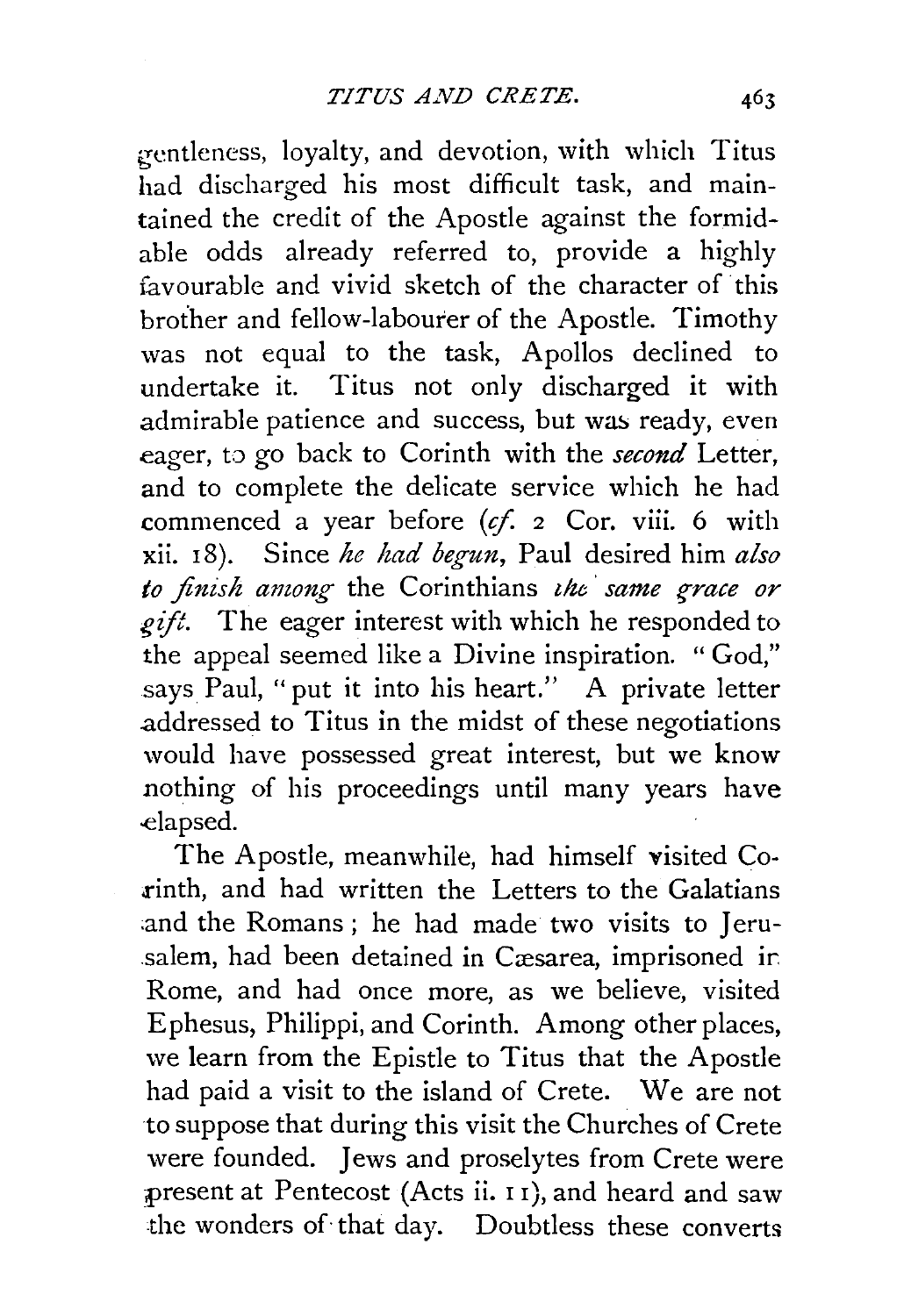gentleness, loyalty, and devotion, with which Titus had discharged his most difficult task, and maintained the credit of the Apostle against the formidable odds already referred to, provide a highly favourable and vivid sketch of the character of this brother and fellow-labourer of the Apostle. Timothy was not equal to the task, Apollos declined to undertake it. Titus not only discharged it with admirable patience and success, but was ready, even eager, to go back to Corinth with the *second* Letter, and to complete the delicate service which he had commenced a year before  $(cf. 2$  Cor. viii. 6 with xii. I 8). Since *he had begun,* Paul desired him *also to finish among* the Corinthians *the same grace or gift.* The eager interest with which he responded to the appeal seemed like a Divine inspiration. " God," says Paul, "put it into his heart." A private letter .addressed to Titus in the midst of these negotiations would have possessed great interest, but we know nothing of his proceedings until many years have elapsed.

The Apostle, meanwhile, had himself visited Co- .rinth, and had written the Letters to the Galatians and the Romans; he had made two visits to Jerusalem, had been detained in Cæsarea, imprisoned in Rome, and had once more, as we believe, visited Ephesus, Philippi, and Corinth. Among other places, we learn from the Epistle to Titus that the Apostle had paid a visit to the island of Crete. We are not to suppose that during this visit the Churches of Crete were founded. Jews and proselytes from Crete were present at Pentecost (Acts ii. 11), and heard and saw the wonders of that day. Doubtless these converts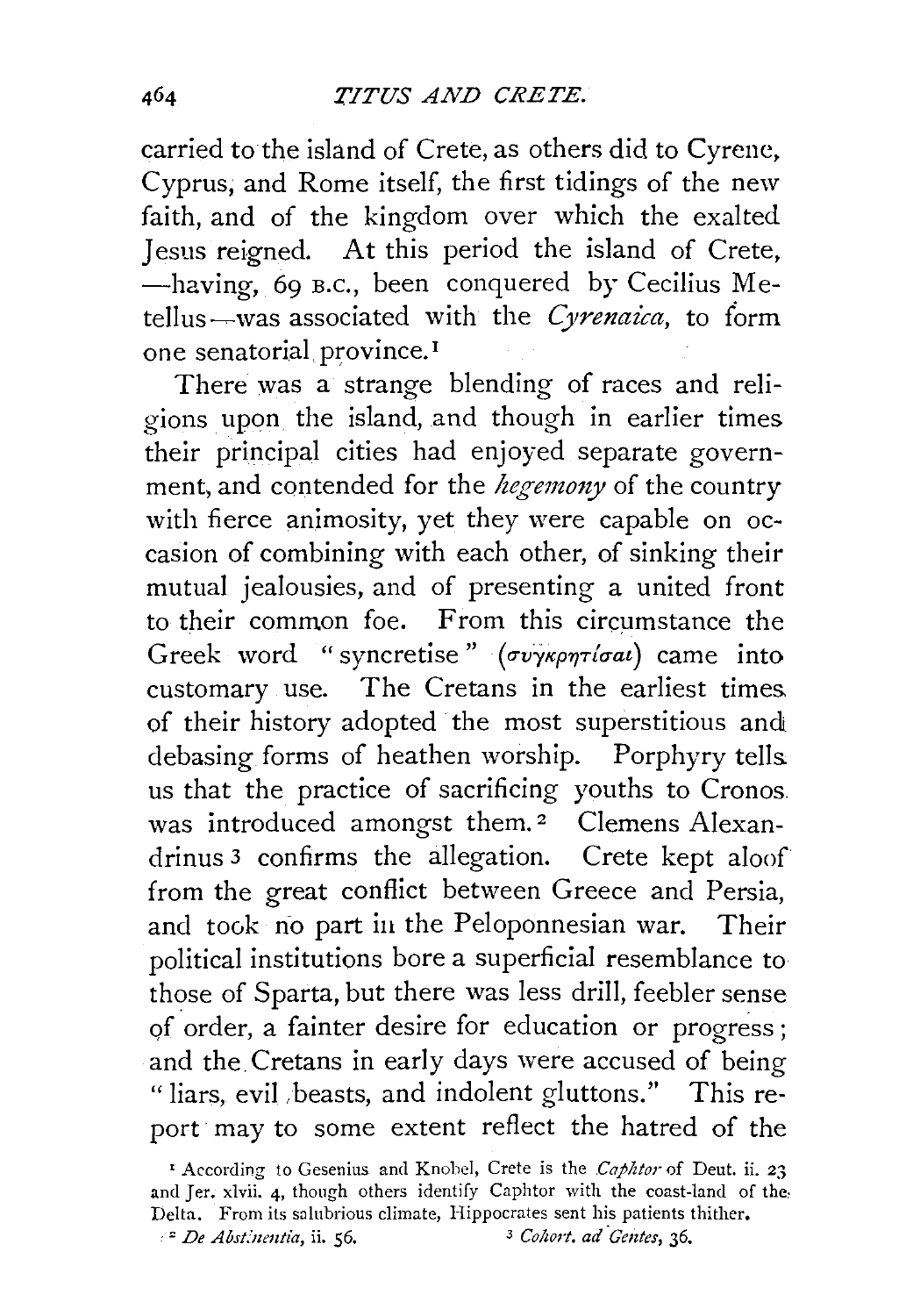carried to the island of Crete, as others did to Cyrenc, Cyprus, and Rome itself, the first tidings of the new faith, and of the kingdom over which the exalted Jesus reigned. At this period the island of Crete, -having, 69 B.c., been conquered by Cecilius Metellus~was associated with the *C)renaica,* to form one senatorial province.<sup>1</sup>

There was a strange blending of races and religions upon the island, and though in earlier times their principal cities had enjoyed separate government, and contended for the *hegemony* of the country with fierce animosity, yet they were capable on occasion of combining with each other, of sinking their mutual jealousies, and of presenting a united front to their common foe. From this circumstance the Greek word " syncretise"  $(\sigma v \gamma \kappa \rho \eta \tau / \sigma a \iota)$  came into customary use. The Cretans in the earliest times of their history adopted the most superstitious and debasing forms of heathen worship. Porphyry tells. us that the practice of sacrificing youths to Cronos. was introduced amongst them.<sup>2</sup> Clemens Alexandrinus 3 confirms the allegation. Crete kept aloof from the great conflict between Greece and Persia, and took no part in the Peloponnesian war. Their political institutions bore a superficial resemblance to those of Sparta, but there was less drill, feebler sense of order, a fainter desire for education or progress; and the. Cretans in early days were accused of being "liars, evil, beasts, and indolent gluttons." This report may to some extent reflect the hatred of the

<sup>&#</sup>x27; According to Gesenius and Knohcl, Crete is the *Caphtor* of Dent. ii. 23 and Jer. xlvii. 4, though others identify Caphtor with the coast-land of the Delta. From its salubrious climate, Hippocrates sent his patients thither. · " *De Abst:'nentia,* ii. 56. *3 Cohort. ad ·Gentes,* 36.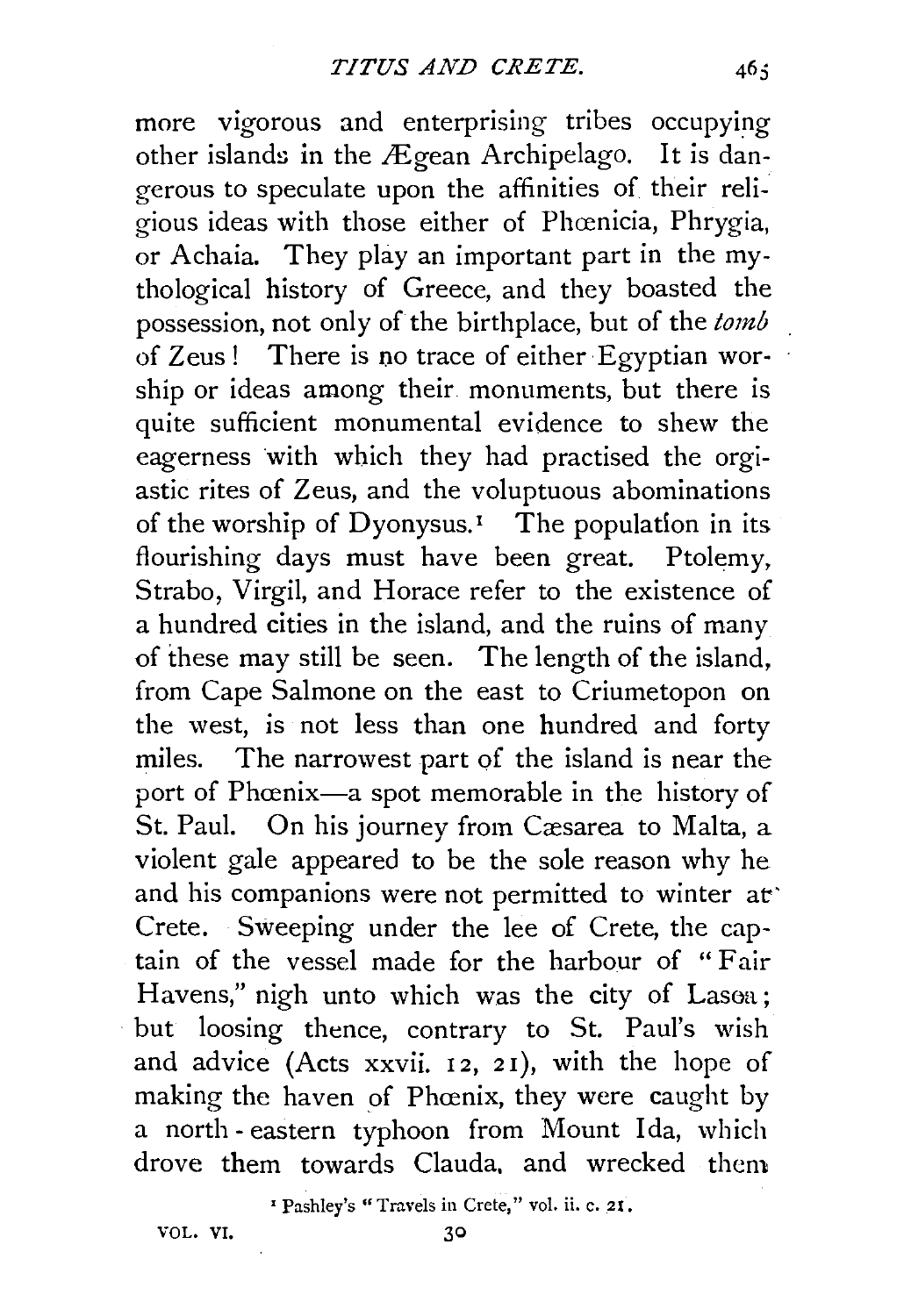more vigorous and enterprising tribes occupying other islands in the  $.$ Egean Archipelago. It is dangerous to speculate upon the affinities of their religious ideas with those either of Phcenicia, Phrygia, or Achaia. They play an important part in the mythological history of Greece, and they boasted the possession, not only of the birthplace, but of the *tomb*  of Zeus! There is no trace of either Egyptian worship or ideas among their monuments, but there is quite sufficient monumental evidence to shew the eagerness with which they had practised the orgiastic rites of Zeus, and the voluptuous abominations of the worship of Dyonysus.<sup>1</sup> The population in its flourishing days must have been great. Ptolemy, Strabo, Virgil, and Horace refer to the existence of a hundred cities in the island, and the ruins of many of these may still be seen. The length of the island, from Cape Salmone on the east to Criumetopon on the west, is not less than one hundred and forty miles. The narrowest part of the island is near the port of Phœnix-a spot memorable in the history of St. Paul. On his journey from Cæsarea to Malta, a violent gale appeared to be the sole reason why he and his companions were not permitted to winter at' Crete. Sweeping under the lee of Crete, the captain of the vessel made for the harbour of " Fair Havens," nigh unto which was the city of Lasea; but loosing thence, contrary to St. Paul's wish and advice (Acts xxvii. 12, 21), with the hope of making the haven of Phœnix, they were caught by a north- eastern typhoon from Mount Ida, which drove them towards Clauda, and wrecked them

' Pashley's "Travels in Crete," vol. ii. c. 21.

VOL. VI. 30

 $46:$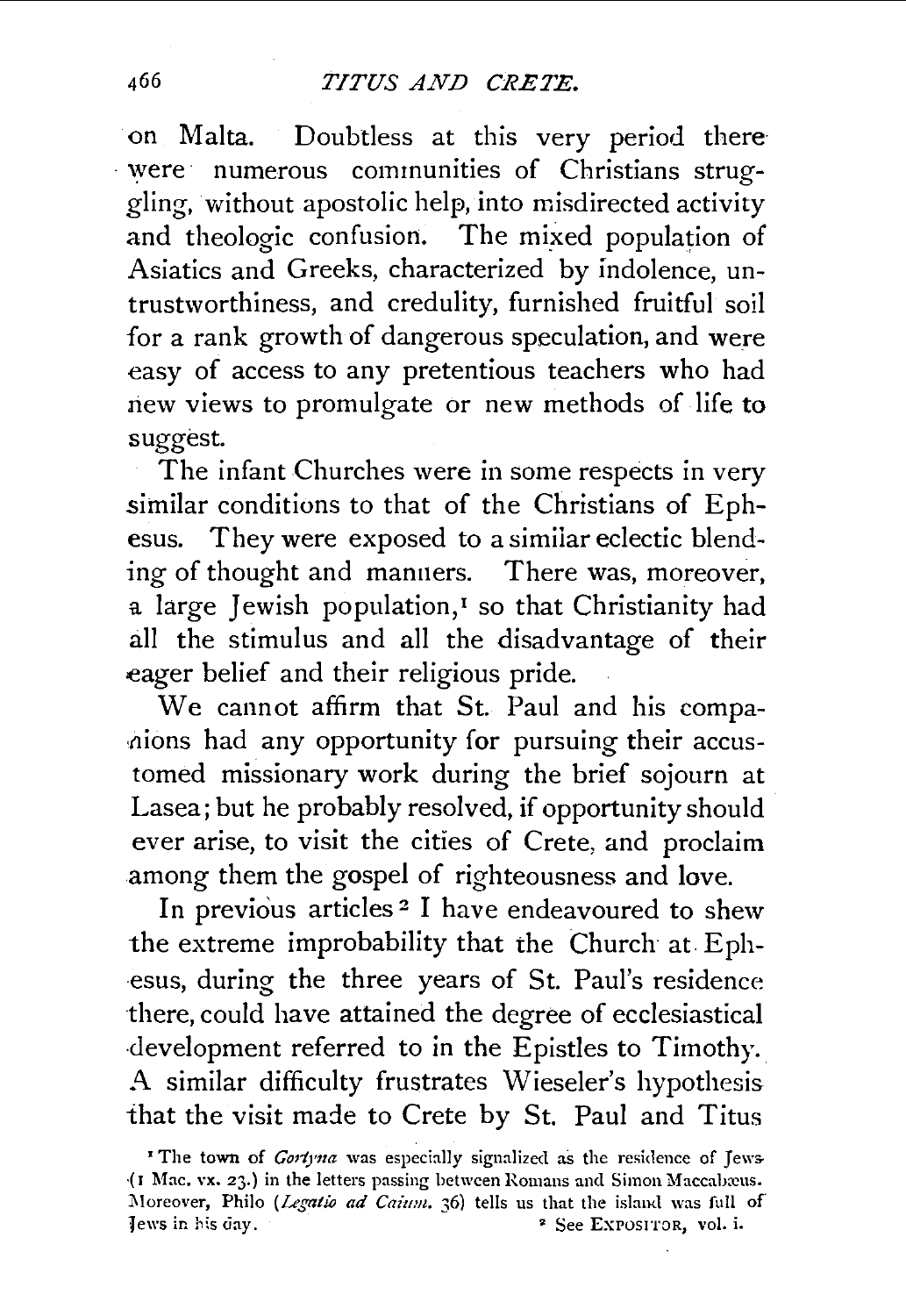on Malta. Doubtless at this very period there · were numerous communities of Christians struggling, without apostolic help, into misdirected activity and theologic confusion. The mixed population of Asiatics and Greeks, characterized by indolence, untrustworthiness, and credulity, furnished fruitful soil for a rank growth of dangerous speculation, and were easy of access to any pretentious teachers who had new views to promulgate or new methods of life to suggest.

The infant Churches were in some respects in very similar conditions to that of the Christians of Ephesus. They were exposed to a simiiar eclectic blending of thought and manners. There was, moreover, a large Jewish population,<sup>1</sup> so that Christianity had all the stimulus and all the disadvantage of their eager belief and their religious pride.

We cannot affirm that St. Paul and his compa hions had any opportunity for pursuing their accustomed missionary work during the brief sojourn at Lasea; but he probably resolved, if opportunity should ever arise, to visit the cities of Crete, and proclaim among them the gospel of righteousness and love.

In previous articles<sup>2</sup> I have endeavoured to shew the extreme improbability that the Church at Eph esus, during the three years of St. Paul's residence there, could have attained the degree of ecclesiastical development referred to in the Epistles to Timothy. A similar difficulty frustrates Wieseler's hypothesis that the visit made to Crete by St. Paul and Titus

<sup>&#</sup>x27; The town of *Gortyna* was especially signalized as the residence of Jews- (I Mac. vx. 23.) in the letters passing between Romans and Simon Maccabæus. Moreover, Philo (Legatio ad Caium. 36) tells us that the island was full of Tews in his day. • The See EXPOSITOR, vol. i.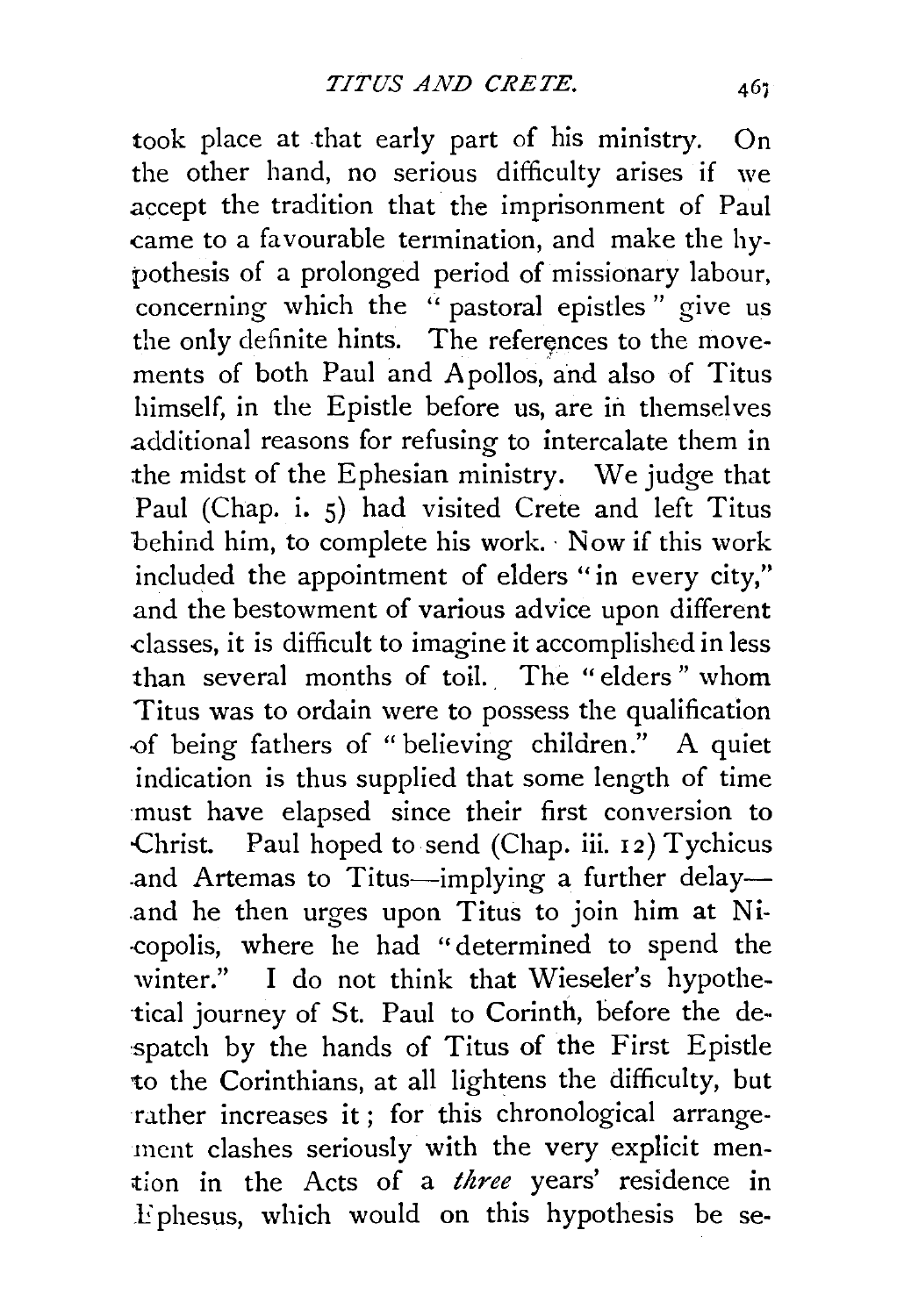took place at that early part of his ministry. On the other hand, no serious difficulty arises if we accept the tradition that the imprisonment of Paul came to a favourable termination, and make the hypothesis of a prolonged period of missionary labour, concerning which the "pastoral epistles" give us the only definite hints. The references to the movements of both Paul and A pollos, and also of Titus himself, in the Epistle before us, are in themselves additional reasons for refusing to intercalate them in the midst of the Ephesian ministry. We judge that Paul (Chap. i. 5) had visited Crete and left Titus behind him, to complete his work. Now if this work included the appointment of elders "in every city," and the bestowment of various advice upon different dasses, it is difficult to imagine it accomplished in less than several months of toil. The " elders " whom Titus was to ordain were to possess the qualification -0f being fathers of "believing children." A quiet indication is thus supplied that some length of time must have elapsed since their first conversion to -Christ. Paul hoped to send (Chap. iii. 12) Tychicus and Artemas to Titus-implying a further delay-.and he then urges upon Titus to join him at Ni- -copolis, where he had " determined to spend the winter." I do not think that Wieseler's hypothe- ·tical journey of St. Paul to Corinth, before the de spatch by the hands of Titus of the First Epistle to the Corinthians, at all lightens the difficulty, but rather increases it; for this chronological arrangement clashes seriously with the very explicit men- >tion in the Acts of a *three* years' residence in .Ephesus, which would on this hypothesis be se-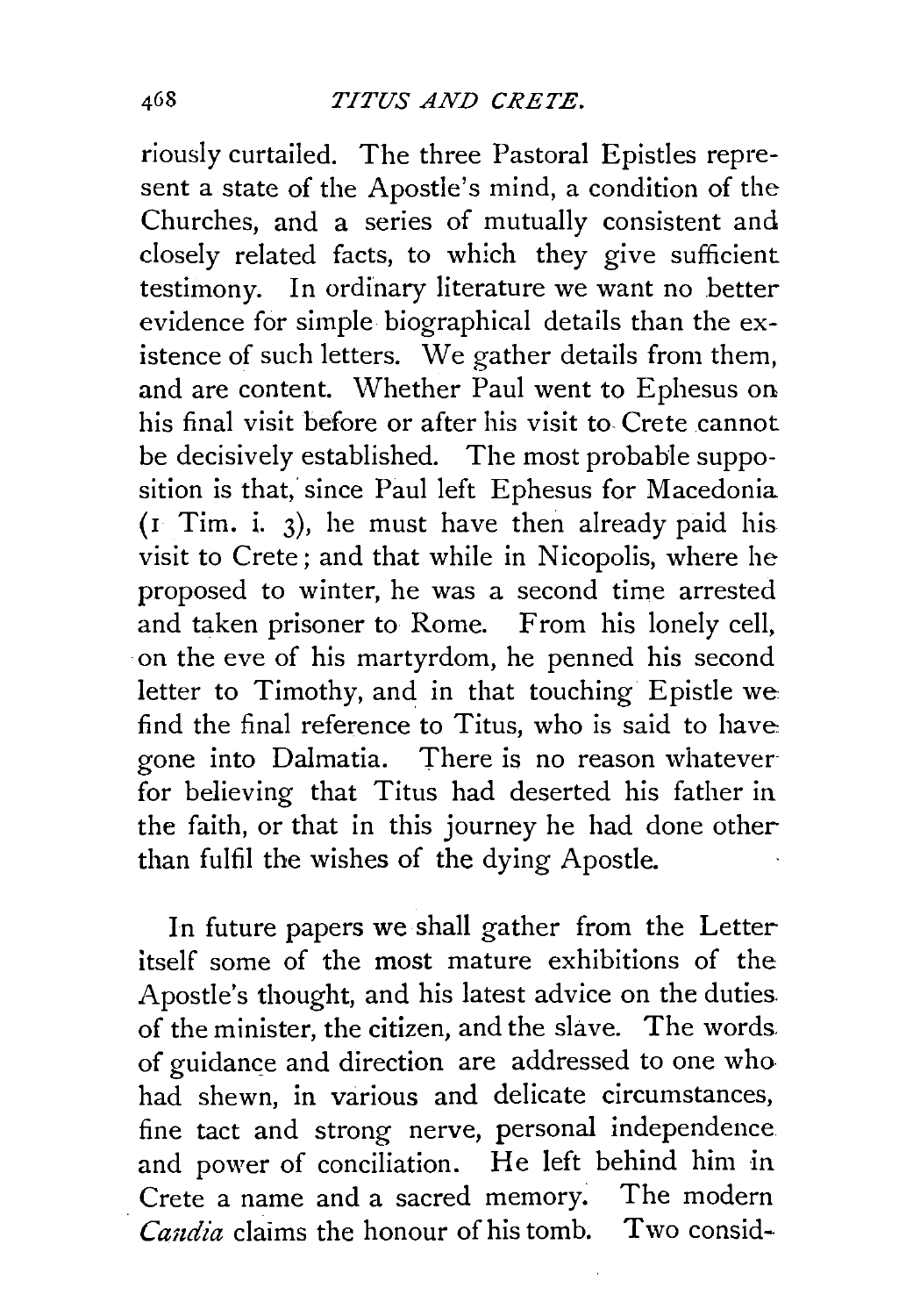riously curtailed. The three Pastoral Epistles represent a state of the Apostle's mind, a condition of the Churches, and a series of mutually consistent and closely related facts, to which they give sufficient testimony. In ordinary literature we want no better evidence for simple biographical details than the existence of such letters. We gather details from them, and are content. Whether Paul went to Ephesus on his final visit before or after his visit to Crete cannot be decisively established. The most probable supposition is that, since Paul left Ephesus for Macedonia  $($ I Tim. i. 3), he must have then already paid his visit to Crete; and that while in Nicopolis, where he proposed to winter, he was a second time arrested and taken prisoner to Rome. From his lonely cell, ·on the eve of his martyrdom, he penned his second letter to Timothy, and in that touching Epistle we find the final reference to Titus, who is said to have gone into Dalmatia. There is no reason whateverfor believing that Titus had deserted his father in the faith, or that in this journey he had done other than fulfil the wishes of the dying Apostle.

In future papers we shall gather from the Letter itself some of the most mature exhibitions of the Apostle's thought, and his latest advice on the duties. of the minister, the citizen, and the slave. The words. of guidance and direction are addressed to one who had shewn, in various and delicate circumstances, fine tact and strong nerve, personal independence and power of conciliation. He left behind him in Crete a name and a sacred memory. The modern *Candia* claims the honour of his tomb. Two consid-